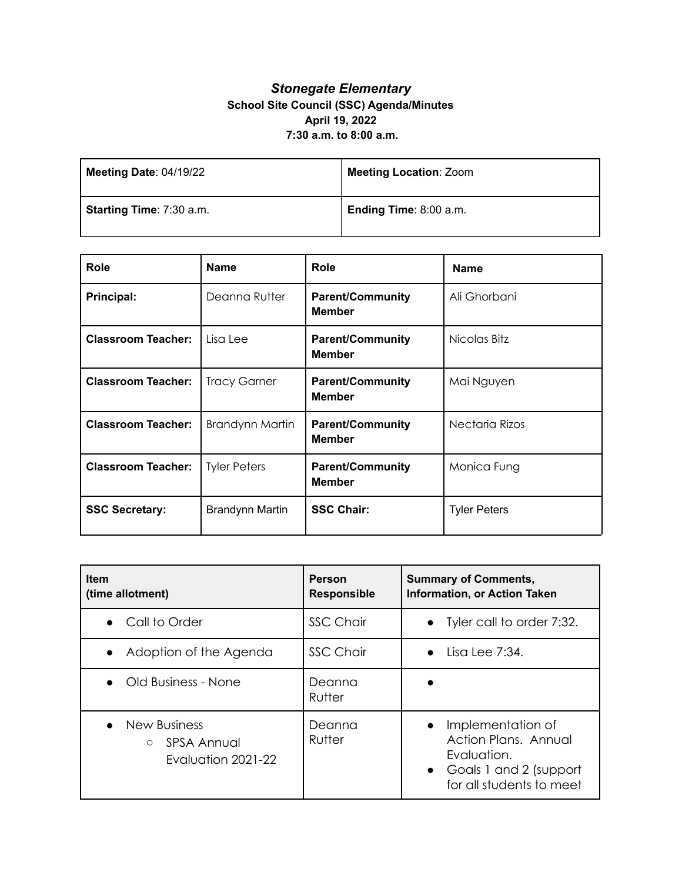## *Stonegate Elementary* **School Site Council (SSC) Agenda/Minutes April 19, 2022 7:30 a.m. to 8:00 a.m.**

| Meeting Date: 04/19/22   | <b>Meeting Location: Zoom</b> |
|--------------------------|-------------------------------|
| Starting Time: 7:30 a.m. | Ending Time: 8:00 a.m.        |

| <b>Role</b>               | <b>Name</b>            | Role                                     | <b>Name</b>         |
|---------------------------|------------------------|------------------------------------------|---------------------|
| Principal:                | Deanna Rutter          | <b>Parent/Community</b><br><b>Member</b> | Ali Ghorbani        |
| <b>Classroom Teacher:</b> | Lisa Lee               | <b>Parent/Community</b><br><b>Member</b> | Nicolas Bitz        |
| <b>Classroom Teacher:</b> | <b>Tracy Garner</b>    | <b>Parent/Community</b><br><b>Member</b> | Mai Nguyen          |
| <b>Classroom Teacher:</b> | <b>Brandynn Martin</b> | <b>Parent/Community</b><br><b>Member</b> | Nectaria Rizos      |
| <b>Classroom Teacher:</b> | <b>Tyler Peters</b>    | <b>Parent/Community</b><br><b>Member</b> | Monica Fung         |
| <b>SSC Secretary:</b>     | <b>Brandynn Martin</b> | <b>SSC Chair:</b>                        | <b>Tyler Peters</b> |

| <b>Item</b><br>(time allotment)                                        | <b>Person</b><br><b>Responsible</b> | <b>Summary of Comments,</b><br><b>Information, or Action Taken</b>                                                                       |
|------------------------------------------------------------------------|-------------------------------------|------------------------------------------------------------------------------------------------------------------------------------------|
| Call to Order                                                          | <b>SSC Chair</b>                    | • Tyler call to order 7:32.                                                                                                              |
| Adoption of the Agenda                                                 | <b>SSC Chair</b>                    | $\bullet$ Lisa Lee 7:34.                                                                                                                 |
| • Old Business - None                                                  | Deanna<br>Rutter                    |                                                                                                                                          |
| <b>New Business</b><br>SPSA Annual<br>$\bigcirc$<br>Evaluation 2021-22 | Deanna<br>Rutter                    | Implementation of<br>$\bullet$<br>Action Plans, Annual<br>Evaluation.<br>Goals 1 and 2 (support<br>$\bullet$<br>for all students to meet |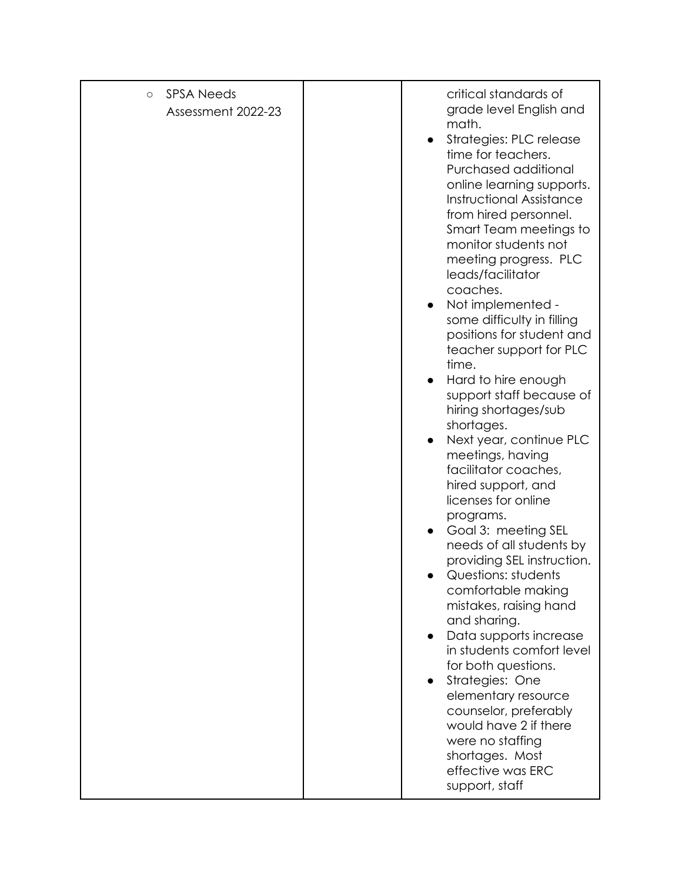| <b>SPSA Needs</b><br>$\circ$<br>Assessment 2022-23 | critical standards of<br>grade level English and<br>math.<br>Strategies: PLC release<br>time for teachers.<br>Purchased additional<br>online learning supports.<br><b>Instructional Assistance</b><br>from hired personnel.<br>Smart Team meetings to<br>monitor students not<br>meeting progress. PLC<br>leads/facilitator<br>coaches.<br>Not implemented -<br>some difficulty in filling<br>positions for student and<br>teacher support for PLC<br>time.<br>Hard to hire enough<br>support staff because of<br>hiring shortages/sub<br>shortages.<br>Next year, continue PLC<br>meetings, having<br>facilitator coaches,<br>hired support, and<br>licenses for online<br>programs.<br>Goal 3: meeting SEL<br>needs of all students by<br>providing SEL instruction.<br>Questions: students<br>comfortable making<br>mistakes, raising hand<br>and sharing.<br>Data supports increase<br>in students comfort level<br>for both questions.<br>Strategies: One<br>elementary resource<br>counselor, preferably<br>would have 2 if there<br>were no staffing<br>shortages. Most<br>effective was ERC<br>support, staff |
|----------------------------------------------------|-----------------------------------------------------------------------------------------------------------------------------------------------------------------------------------------------------------------------------------------------------------------------------------------------------------------------------------------------------------------------------------------------------------------------------------------------------------------------------------------------------------------------------------------------------------------------------------------------------------------------------------------------------------------------------------------------------------------------------------------------------------------------------------------------------------------------------------------------------------------------------------------------------------------------------------------------------------------------------------------------------------------------------------------------------------------------------------------------------------------------|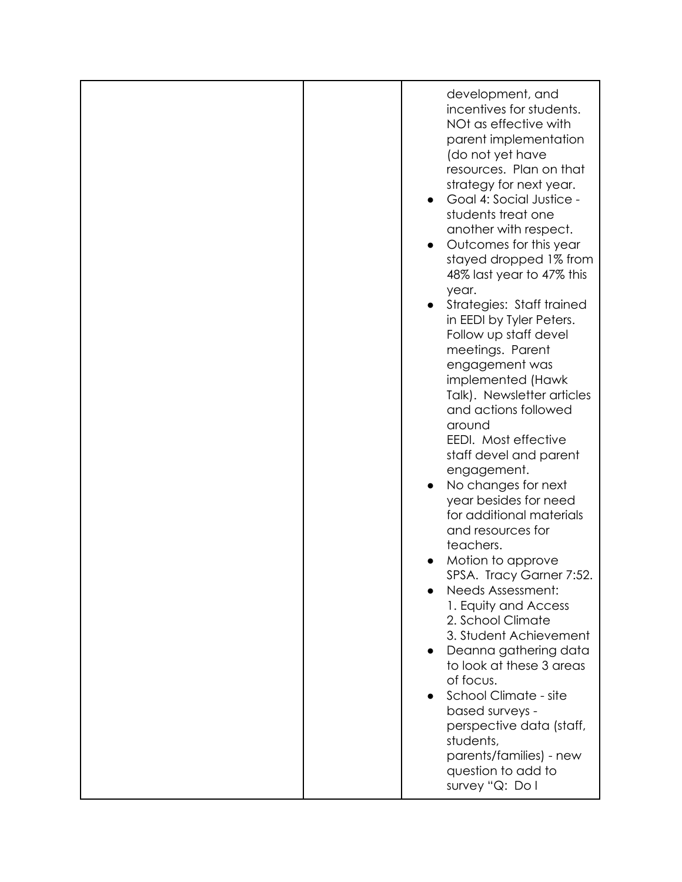| development, and<br>incentives for students.<br>NOt as effective with<br>parent implementation<br>(do not yet have<br>resources. Plan on that<br>strategy for next year.<br>Goal 4: Social Justice -<br>students treat one<br>another with respect.<br>Outcomes for this year<br>stayed dropped 1% from<br>48% last year to 47% this<br>year.<br>Strategies: Staff trained<br>in EEDI by Tyler Peters.<br>Follow up staff devel<br>meetings. Parent<br>engagement was<br>implemented (Hawk<br>Talk). Newsletter articles<br>and actions followed<br>around<br>EEDI. Most effective<br>staff devel and parent<br>engagement.<br>No changes for next<br>year besides for need<br>for additional materials<br>and resources for<br>teachers.<br>Motion to approve<br>SPSA. Tracy Garner 7:52.<br>Needs Assessment:<br>1. Equity and Access<br>2. School Climate<br>3. Student Achievement<br>Deanna gathering data<br>to look at these 3 areas<br>of focus.<br>School Climate - site<br>based surveys -<br>perspective data (staff,<br>students,<br>parents/families) - new<br>question to add to<br>survey "Q: Do I |
|-------------------------------------------------------------------------------------------------------------------------------------------------------------------------------------------------------------------------------------------------------------------------------------------------------------------------------------------------------------------------------------------------------------------------------------------------------------------------------------------------------------------------------------------------------------------------------------------------------------------------------------------------------------------------------------------------------------------------------------------------------------------------------------------------------------------------------------------------------------------------------------------------------------------------------------------------------------------------------------------------------------------------------------------------------------------------------------------------------------------|